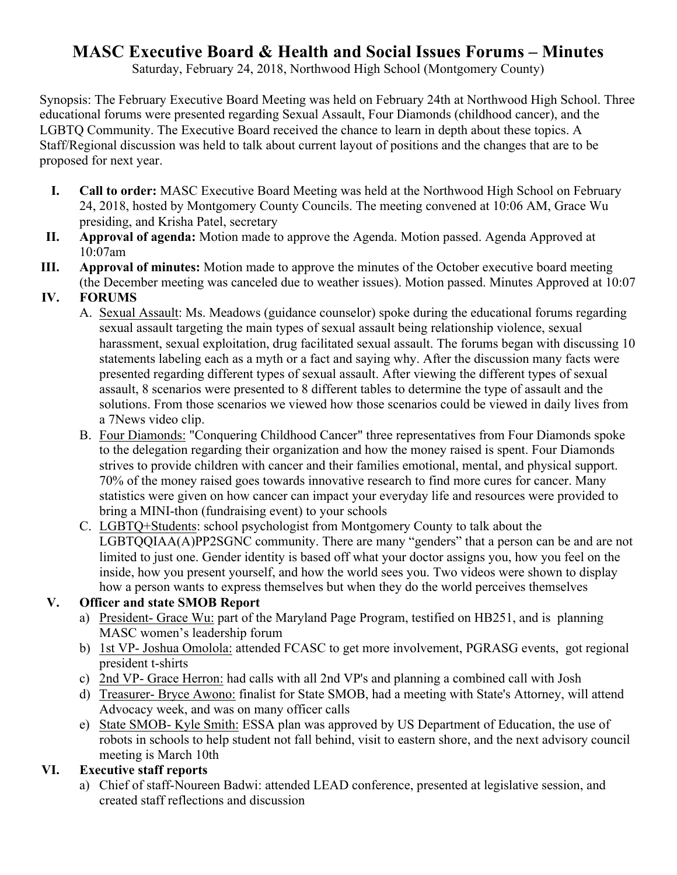# **MASC Executive Board & Health and Social Issues Forums – Minutes**

Saturday, February 24, 2018, Northwood High School (Montgomery County)

Synopsis: The February Executive Board Meeting was held on February 24th at Northwood High School. Three educational forums were presented regarding Sexual Assault, Four Diamonds (childhood cancer), and the LGBTQ Community. The Executive Board received the chance to learn in depth about these topics. A Staff/Regional discussion was held to talk about current layout of positions and the changes that are to be proposed for next year.

- **I. Call to order:** MASC Executive Board Meeting was held at the Northwood High School on February 24, 2018, hosted by Montgomery County Councils. The meeting convened at 10:06 AM, Grace Wu presiding, and Krisha Patel, secretary
- **II. Approval of agenda:** Motion made to approve the Agenda. Motion passed. Agenda Approved at 10:07am
- **III. Approval of minutes:** Motion made to approve the minutes of the October executive board meeting (the December meeting was canceled due to weather issues). Motion passed. Minutes Approved at 10:07

# **IV. FORUMS**

- A. Sexual Assault: Ms. Meadows (guidance counselor) spoke during the educational forums regarding sexual assault targeting the main types of sexual assault being relationship violence, sexual harassment, sexual exploitation, drug facilitated sexual assault. The forums began with discussing 10 statements labeling each as a myth or a fact and saying why. After the discussion many facts were presented regarding different types of sexual assault. After viewing the different types of sexual assault, 8 scenarios were presented to 8 different tables to determine the type of assault and the solutions. From those scenarios we viewed how those scenarios could be viewed in daily lives from a 7News video clip.
- B. Four Diamonds: "Conquering Childhood Cancer" three representatives from Four Diamonds spoke to the delegation regarding their organization and how the money raised is spent. Four Diamonds strives to provide children with cancer and their families emotional, mental, and physical support. 70% of the money raised goes towards innovative research to find more cures for cancer. Many statistics were given on how cancer can impact your everyday life and resources were provided to bring a MINI-thon (fundraising event) to your schools
- C. LGBTQ+Students: school psychologist from Montgomery County to talk about the LGBTQQIAA(A)PP2SGNC community. There are many "genders" that a person can be and are not limited to just one. Gender identity is based off what your doctor assigns you, how you feel on the inside, how you present yourself, and how the world sees you. Two videos were shown to display how a person wants to express themselves but when they do the world perceives themselves

### **V. Officer and state SMOB Report**

- a) President- Grace Wu: part of the Maryland Page Program, testified on HB251, and is planning MASC women's leadership forum
- b) 1st VP- Joshua Omolola: attended FCASC to get more involvement, PGRASG events, got regional president t-shirts
- c) 2nd VP- Grace Herron: had calls with all 2nd VP's and planning a combined call with Josh
- d) Treasurer- Bryce Awono: finalist for State SMOB, had a meeting with State's Attorney, will attend Advocacy week, and was on many officer calls
- e) State SMOB- Kyle Smith: ESSA plan was approved by US Department of Education, the use of robots in schools to help student not fall behind, visit to eastern shore, and the next advisory council meeting is March 10th

# **VI. Executive staff reports**

a) Chief of staff-Noureen Badwi: attended LEAD conference, presented at legislative session, and created staff reflections and discussion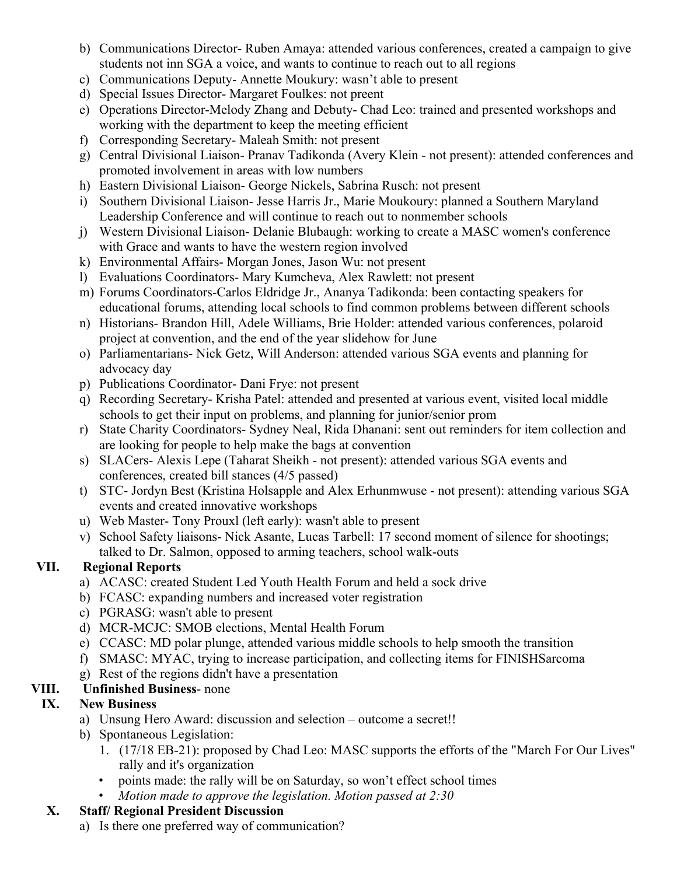- b) Communications Director- Ruben Amaya: attended various conferences, created a campaign to give students not inn SGA a voice, and wants to continue to reach out to all regions
- c) Communications Deputy- Annette Moukury: wasn't able to present
- d) Special Issues Director- Margaret Foulkes: not preent
- e) Operations Director-Melody Zhang and Debuty- Chad Leo: trained and presented workshops and working with the department to keep the meeting efficient
- f) Corresponding Secretary- Maleah Smith: not present
- g) Central Divisional Liaison- Pranav Tadikonda (Avery Klein not present): attended conferences and promoted involvement in areas with low numbers
- h) Eastern Divisional Liaison- George Nickels, Sabrina Rusch: not present
- i) Southern Divisional Liaison- Jesse Harris Jr., Marie Moukoury: planned a Southern Maryland Leadership Conference and will continue to reach out to nonmember schools
- j) Western Divisional Liaison- Delanie Blubaugh: working to create a MASC women's conference with Grace and wants to have the western region involved
- k) Environmental Affairs- Morgan Jones, Jason Wu: not present
- l) Evaluations Coordinators- Mary Kumcheva, Alex Rawlett: not present
- m) Forums Coordinators-Carlos Eldridge Jr., Ananya Tadikonda: been contacting speakers for educational forums, attending local schools to find common problems between different schools
- n) Historians- Brandon Hill, Adele Williams, Brie Holder: attended various conferences, polaroid project at convention, and the end of the year slidehow for June
- o) Parliamentarians- Nick Getz, Will Anderson: attended various SGA events and planning for advocacy day
- p) Publications Coordinator- Dani Frye: not present
- q) Recording Secretary- Krisha Patel: attended and presented at various event, visited local middle schools to get their input on problems, and planning for junior/senior prom
- r) State Charity Coordinators- Sydney Neal, Rida Dhanani: sent out reminders for item collection and are looking for people to help make the bags at convention
- s) SLACers- Alexis Lepe (Taharat Sheikh not present): attended various SGA events and conferences, created bill stances (4/5 passed)
- t) STC- Jordyn Best (Kristina Holsapple and Alex Erhunmwuse not present): attending various SGA events and created innovative workshops
- u) Web Master- Tony Prouxl (left early): wasn't able to present
- v) School Safety liaisons- Nick Asante, Lucas Tarbell: 17 second moment of silence for shootings; talked to Dr. Salmon, opposed to arming teachers, school walk-outs

### **VII. Regional Reports**

- a) ACASC: created Student Led Youth Health Forum and held a sock drive
- b) FCASC: expanding numbers and increased voter registration
- c) PGRASG: wasn't able to present
- d) MCR-MCJC: SMOB elections, Mental Health Forum
- e) CCASC: MD polar plunge, attended various middle schools to help smooth the transition
- f) SMASC: MYAC, trying to increase participation, and collecting items for FINISHSarcoma
- g) Rest of the regions didn't have a presentation

# **VIII. Unfinished Business**- none

### **IX. New Business**

- a) Unsung Hero Award: discussion and selection outcome a secret!!
- b) Spontaneous Legislation:
	- 1. (17/18 EB-21): proposed by Chad Leo: MASC supports the efforts of the "March For Our Lives" rally and it's organization
	- points made: the rally will be on Saturday, so won't effect school times
	- *Motion made to approve the legislation. Motion passed at 2:30*

### **X. Staff/ Regional President Discussion**

a) Is there one preferred way of communication?